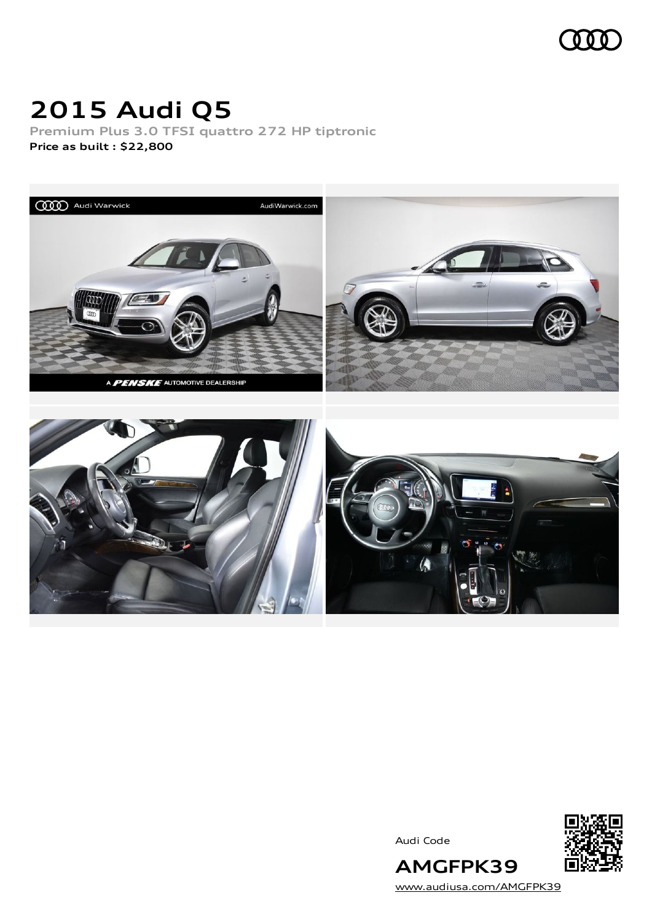

## **2015 Audi Q5**

**Premium Plus 3.0 TFSI quattro 272 HP tiptronic Price as built [:](#page-10-0) \$22,800**



Audi Code



[www.audiusa.com/AMGFPK39](https://www.audiusa.com/AMGFPK39)

**AMGFPK39**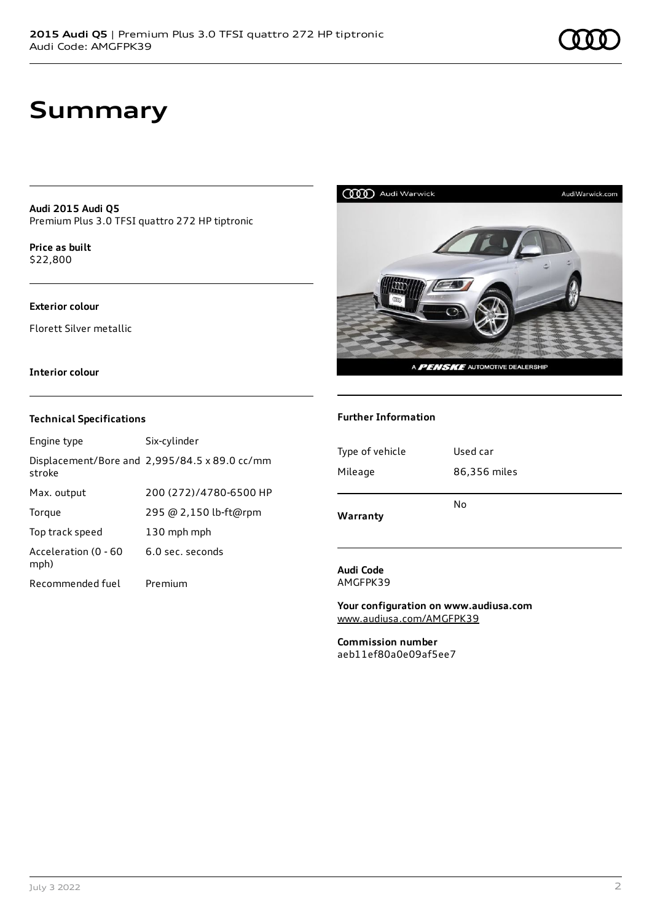### **Summary**

**Audi 2015 Audi Q5** Premium Plus 3.0 TFSI quattro 272 HP tiptronic

**Price as buil[t](#page-10-0)** \$22,800

### **Exterior colour**

Florett Silver metallic

### **Interior colour**

#### **Technical Specifications**

| Engine type                  | Six-cylinder                                  |
|------------------------------|-----------------------------------------------|
| stroke                       | Displacement/Bore and 2,995/84.5 x 89.0 cc/mm |
| Max. output                  | 200 (272)/4780-6500 HP                        |
| Torque                       | 295 @ 2,150 lb-ft@rpm                         |
| Top track speed              | 130 mph mph                                   |
| Acceleration (0 - 60<br>mph) | 6.0 sec. seconds                              |
| Recommended fuel             | Premium                                       |



#### **Further Information**

| No<br>Warranty |  |
|----------------|--|

#### **Audi Code** AMGFPK39

**Your configuration on www.audiusa.com** [www.audiusa.com/AMGFPK39](https://www.audiusa.com/AMGFPK39)

**Commission number** aeb11ef80a0e09af5ee7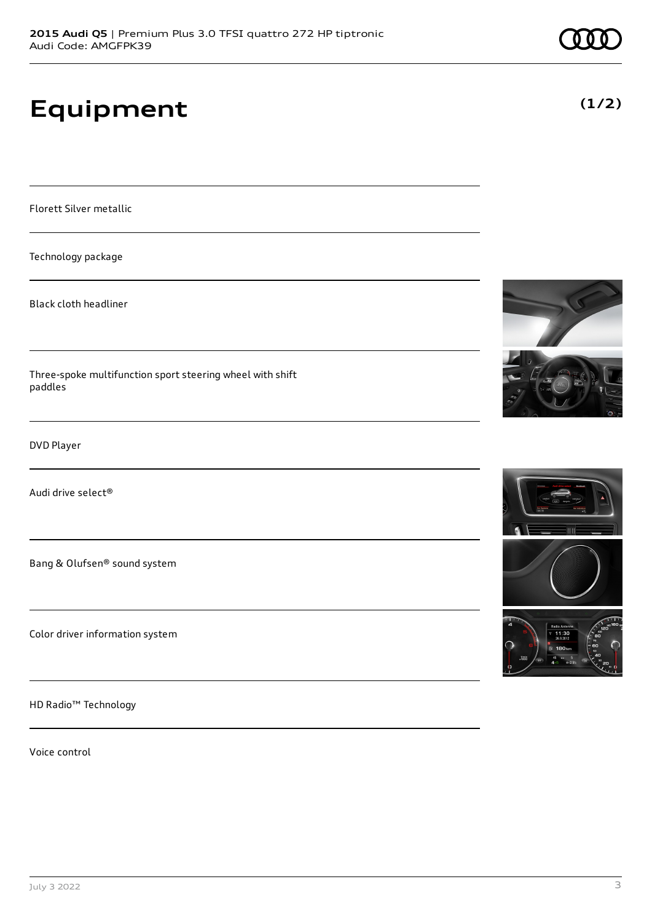# **Equipment**

Florett Silver metallic

Technology package

Black cloth headliner

Three-spoke multifunction sport steering wheel with shift paddles

DVD Player

Audi drive select®

Bang & Olufsen® sound system

Color driver information system

HD Radio™ Technology

Voice control







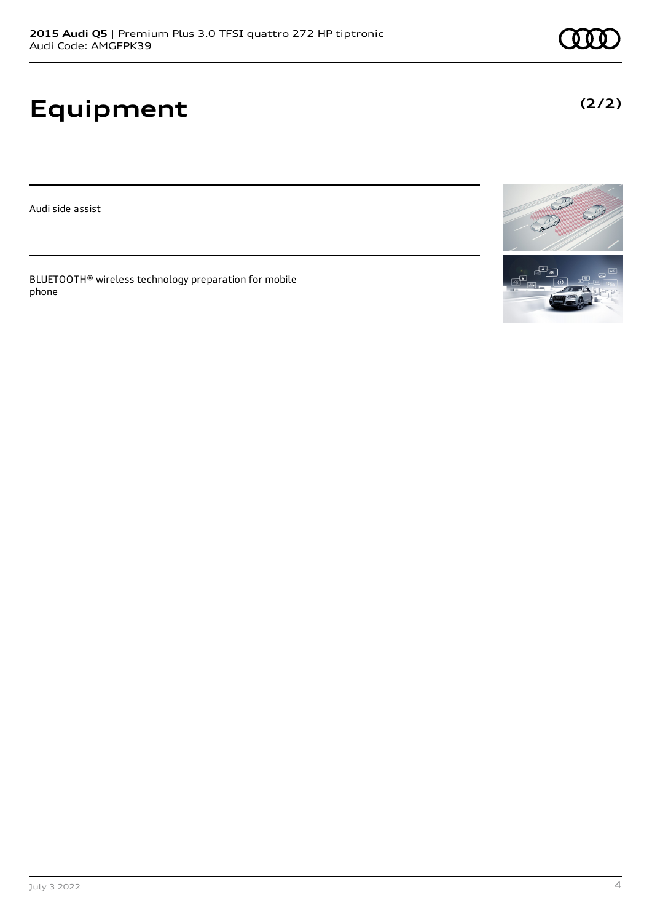# **Equipment**

Audi side assist

BLUETOOTH® wireless technology preparation for mobile phone



**(2/2)**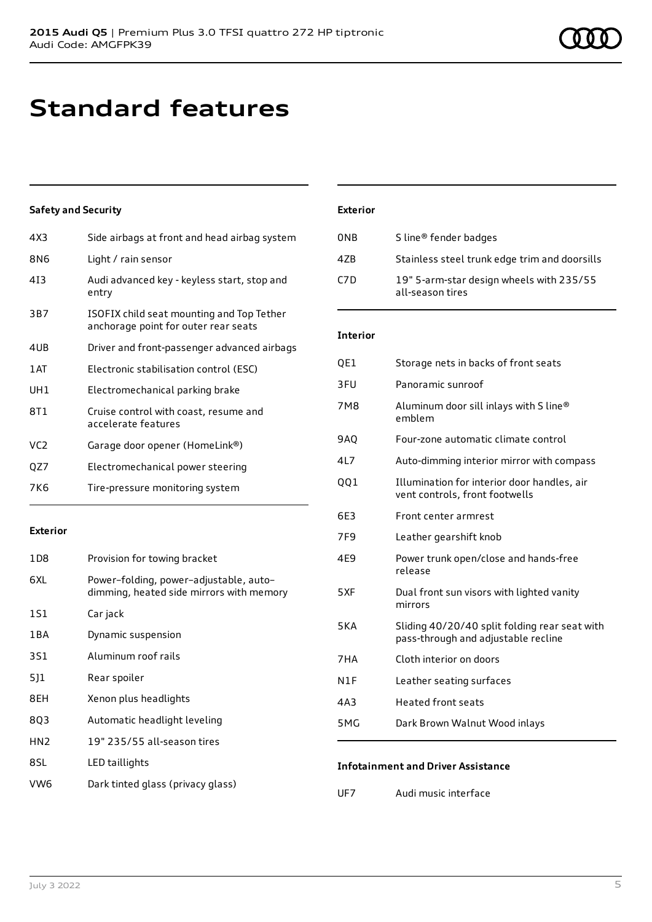### **Standard features**

### **Safety and Security**

| 4X3             | Side airbags at front and head airbag system                                      |
|-----------------|-----------------------------------------------------------------------------------|
| 8N6             | Light / rain sensor                                                               |
| 413             | Audi advanced key - keyless start, stop and<br>entry                              |
| 3B7             | ISOFIX child seat mounting and Top Tether<br>anchorage point for outer rear seats |
| 4UB             | Driver and front-passenger advanced airbags                                       |
| 1AT             | Electronic stabilisation control (ESC)                                            |
| UH1             | Electromechanical parking brake                                                   |
| 8T1             | Cruise control with coast, resume and<br>accelerate features                      |
| VC <sub>2</sub> | Garage door opener (HomeLink®)                                                    |
| QZ7             | Electromechanical power steering                                                  |
| 7K6             | Tire-pressure monitoring system                                                   |

#### **Exterior**

| 1D8             | Provision for towing bracket                                                       |
|-----------------|------------------------------------------------------------------------------------|
| 6XL             | Power-folding, power-adjustable, auto-<br>dimming, heated side mirrors with memory |
| 1S1             | Car jack                                                                           |
| 1 B A           | Dynamic suspension                                                                 |
| 3S1             | Aluminum roof rails                                                                |
| 511             | Rear spoiler                                                                       |
| 8EH             | Xenon plus headlights                                                              |
| 8Q3             | Automatic headlight leveling                                                       |
| HN <sub>2</sub> | 19" 235/55 all-season tires                                                        |
| 8SL             | LED taillights                                                                     |
| VW <sub>6</sub> | Dark tinted glass (privacy glass)                                                  |

### **Exterior**

| 0NB | S line <sup>®</sup> fender badges                            |
|-----|--------------------------------------------------------------|
| 47B | Stainless steel trunk edge trim and doorsills                |
| C7D | 19" 5-arm-star design wheels with 235/55<br>all-season tires |

#### **Interior**

| QE1              | Storage nets in backs of front seats                                                 |
|------------------|--------------------------------------------------------------------------------------|
| 3FU              | Panoramic sunroof                                                                    |
| 7M8              | Aluminum door sill inlays with S line®<br>emblem                                     |
| <b>9AQ</b>       | Four-zone automatic climate control                                                  |
| 4L7              | Auto-dimming interior mirror with compass                                            |
| 001              | Illumination for interior door handles, air<br>vent controls, front footwells        |
| 6E3              | Front center armrest                                                                 |
| 7F <sub>9</sub>  | Leather gearshift knob                                                               |
| 4E9              | Power trunk open/close and hands-free<br>release                                     |
| 5XF              | Dual front sun visors with lighted vanity<br>mirrors                                 |
| 5KA              | Sliding 40/20/40 split folding rear seat with<br>pass-through and adjustable recline |
| 7HA              | Cloth interior on doors                                                              |
| N1F              | Leather seating surfaces                                                             |
| 4A3              | <b>Heated front seats</b>                                                            |
| 5 <sub>M</sub> G | Dark Brown Walnut Wood inlays                                                        |

### **Infotainment and Driver Assistance**

UF7 Audi music interface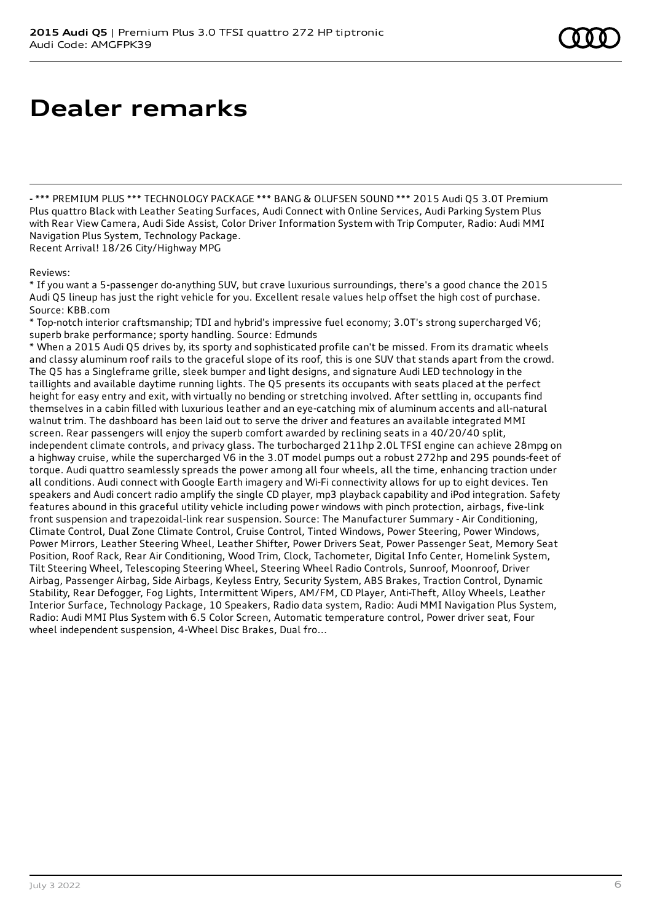## **Dealer remarks**

- \*\*\* PREMIUM PLUS \*\*\* TECHNOLOGY PACKAGE \*\*\* BANG & OLUFSEN SOUND \*\*\* 2015 Audi Q5 3.0T Premium Plus quattro Black with Leather Seating Surfaces, Audi Connect with Online Services, Audi Parking System Plus with Rear View Camera, Audi Side Assist, Color Driver Information System with Trip Computer, Radio: Audi MMI Navigation Plus System, Technology Package. Recent Arrival! 18/26 City/Highway MPG

Reviews:

\* If you want a 5-passenger do-anything SUV, but crave luxurious surroundings, there's a good chance the 2015 Audi Q5 lineup has just the right vehicle for you. Excellent resale values help offset the high cost of purchase. Source: KBB.com

\* Top-notch interior craftsmanship; TDI and hybrid's impressive fuel economy; 3.0T's strong supercharged V6; superb brake performance; sporty handling. Source: Edmunds

\* When a 2015 Audi Q5 drives by, its sporty and sophisticated profile can't be missed. From its dramatic wheels and classy aluminum roof rails to the graceful slope of its roof, this is one SUV that stands apart from the crowd. The Q5 has a Singleframe grille, sleek bumper and light designs, and signature Audi LED technology in the taillights and available daytime running lights. The Q5 presents its occupants with seats placed at the perfect height for easy entry and exit, with virtually no bending or stretching involved. After settling in, occupants find themselves in a cabin filled with luxurious leather and an eye-catching mix of aluminum accents and all-natural walnut trim. The dashboard has been laid out to serve the driver and features an available integrated MMI screen. Rear passengers will enjoy the superb comfort awarded by reclining seats in a 40/20/40 split, independent climate controls, and privacy glass. The turbocharged 211hp 2.0L TFSI engine can achieve 28mpg on a highway cruise, while the supercharged V6 in the 3.0T model pumps out a robust 272hp and 295 pounds-feet of torque. Audi quattro seamlessly spreads the power among all four wheels, all the time, enhancing traction under all conditions. Audi connect with Google Earth imagery and Wi-Fi connectivity allows for up to eight devices. Ten speakers and Audi concert radio amplify the single CD player, mp3 playback capability and iPod integration. Safety features abound in this graceful utility vehicle including power windows with pinch protection, airbags, five-link front suspension and trapezoidal-link rear suspension. Source: The Manufacturer Summary - Air Conditioning, Climate Control, Dual Zone Climate Control, Cruise Control, Tinted Windows, Power Steering, Power Windows, Power Mirrors, Leather Steering Wheel, Leather Shifter, Power Drivers Seat, Power Passenger Seat, Memory Seat Position, Roof Rack, Rear Air Conditioning, Wood Trim, Clock, Tachometer, Digital Info Center, Homelink System, Tilt Steering Wheel, Telescoping Steering Wheel, Steering Wheel Radio Controls, Sunroof, Moonroof, Driver Airbag, Passenger Airbag, Side Airbags, Keyless Entry, Security System, ABS Brakes, Traction Control, Dynamic Stability, Rear Defogger, Fog Lights, Intermittent Wipers, AM/FM, CD Player, Anti-Theft, Alloy Wheels, Leather Interior Surface, Technology Package, 10 Speakers, Radio data system, Radio: Audi MMI Navigation Plus System, Radio: Audi MMI Plus System with 6.5 Color Screen, Automatic temperature control, Power driver seat, Four wheel independent suspension, 4-Wheel Disc Brakes, Dual fro...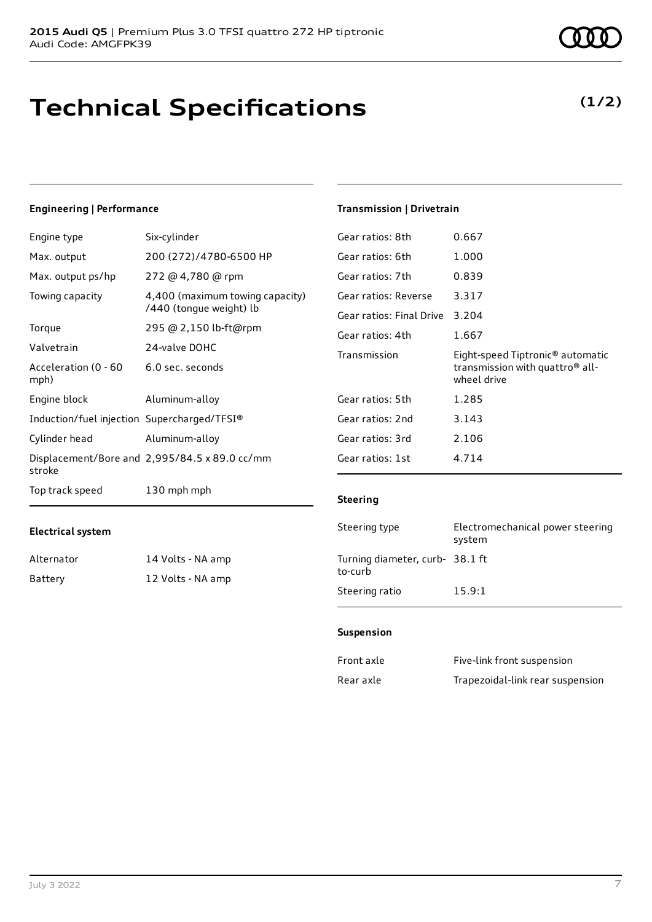# **Technical Specifications**

**Electrical system**

Alternator 14 Volts - NA amp Battery 12 Volts - NA amp

### **Engineering | Performance**

| Engine type                                 | Six-cylinder                                               |
|---------------------------------------------|------------------------------------------------------------|
| Max. output                                 | 200 (272)/4780-6500 HP                                     |
| Max. output ps/hp                           | 272 @ 4,780 @ rpm                                          |
| Towing capacity                             | 4,400 (maximum towing capacity)<br>/440 (tongue weight) lb |
| Torque                                      | 295 @ 2,150 lb-ft@rpm                                      |
| Valvetrain                                  | 24-valve DOHC                                              |
| Acceleration (0 - 60<br>mph)                | 6.0 sec. seconds                                           |
| Engine block                                | Aluminum-alloy                                             |
| Induction/fuel injection Supercharged/TFSI® |                                                            |
| Cylinder head                               | Aluminum-alloy                                             |
| stroke                                      | Displacement/Bore and 2,995/84.5 x 89.0 cc/mm              |
| Top track speed                             | 130 mph mph                                                |

### Gear ratios: 8th 0.667 Gear ratios: 6th 1.000 Gear ratios: 7th 0.839 Gear ratios: Reverse 3.317 Gear ratios: Final Drive 3.204 Gear ratios: 4th 1.667 Transmission Eight-speed Tiptronic® automatic transmission with quattro® allwheel drive Gear ratios: 5th 1.285 Gear ratios: 2nd 3.143 Gear ratios: 3rd 2.106

**Transmission | Drivetrain**

Gear ratios: 1st 4.714

### **Steering**

| Steering type                             | Electromechanical power steering<br>system |
|-------------------------------------------|--------------------------------------------|
| Turning diameter, curb-38.1 ft<br>to-curb |                                            |
| Steering ratio                            | 15.9:1                                     |

#### **Suspension**

| Front axle | Five-link front suspension       |
|------------|----------------------------------|
| Rear axle  | Trapezoidal-link rear suspension |



### **(1/2)**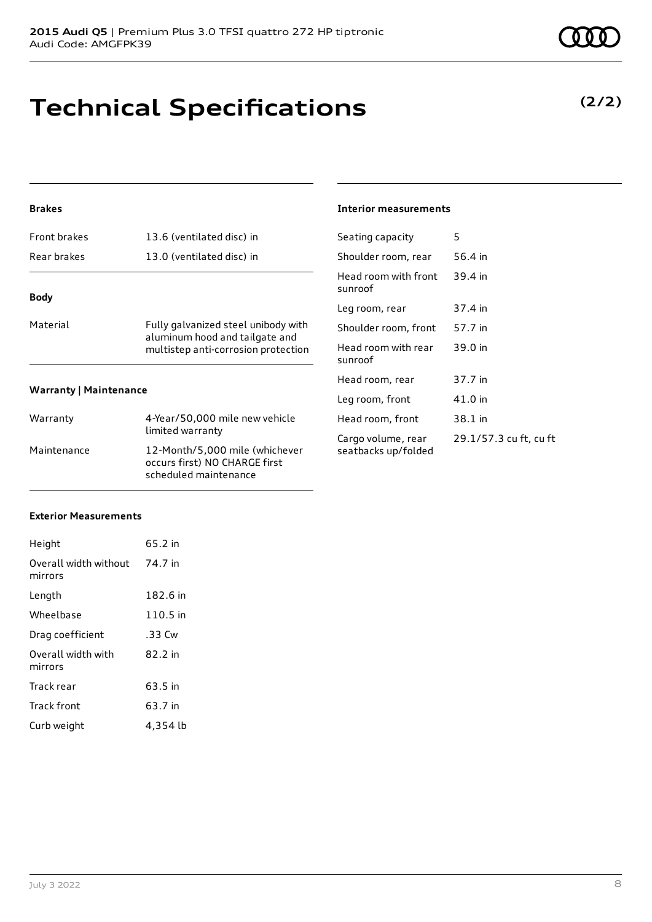# **Technical Specifications**

### **Brakes**

| <b>Front brakes</b>           | 13.6 (ventilated disc) in                                                                                    |  |
|-------------------------------|--------------------------------------------------------------------------------------------------------------|--|
| Rear brakes                   | 13.0 (ventilated disc) in                                                                                    |  |
| <b>Body</b>                   |                                                                                                              |  |
| Material                      | Fully galvanized steel unibody with<br>aluminum hood and tailgate and<br>multistep anti-corrosion protection |  |
| <b>Warranty   Maintenance</b> |                                                                                                              |  |
| Warranty                      | 4-Year/50,000 mile new vehicle<br>limited warranty                                                           |  |
| Maintenance                   | 12-Month/5,000 mile (whichever<br>occurs first) NO CHARGE first                                              |  |

scheduled maintenance

#### **Interior measurements**

| Seating capacity                          | 5                      |
|-------------------------------------------|------------------------|
| Shoulder room, rear                       | 56.4 in                |
| Head room with front<br>sunroof           | 39.4 in                |
| Leg room, rear                            | 37.4 in                |
| Shoulder room, front                      | 57.7 in                |
| Head room with rear<br>sunroof            | 39.0 in                |
| Head room, rear                           | 37.7 in                |
| Leg room, front                           | 41.0 in                |
| Head room, front                          | 38.1 in                |
| Cargo volume, rear<br>seatbacks up/folded | 29.1/57.3 cu ft, cu ft |

### **Exterior Measurements**

| Height                           | 65.2 in  |
|----------------------------------|----------|
| Overall width without<br>mirrors | 74.7 in  |
| Length                           | 182.6 in |
| Wheelbase                        | 110.5 in |
| Drag coefficient                 | .33 Cw   |
| Overall width with<br>mirrors    | 82.2 in  |
| Track rear                       | 63.5 in  |
| Track front                      | 63.7 in  |
| Curb weight                      | 4,354 lb |

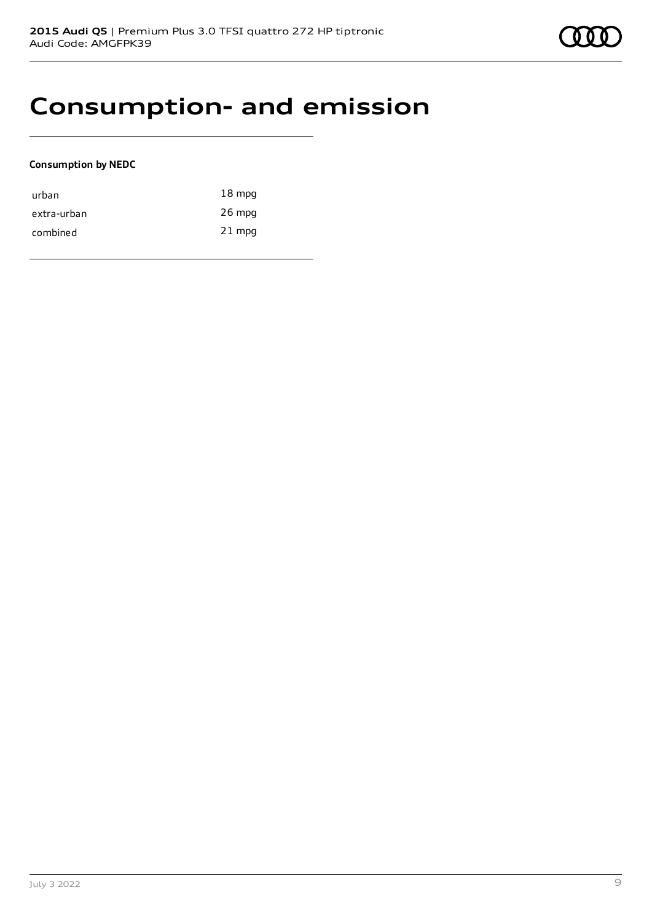

### **Consumption- and emission**

### **Consumption by NEDC**

| urban       | $18 \text{ mpg}$ |
|-------------|------------------|
| extra-urban | $26$ mpg         |
| combined    | $21$ mpg         |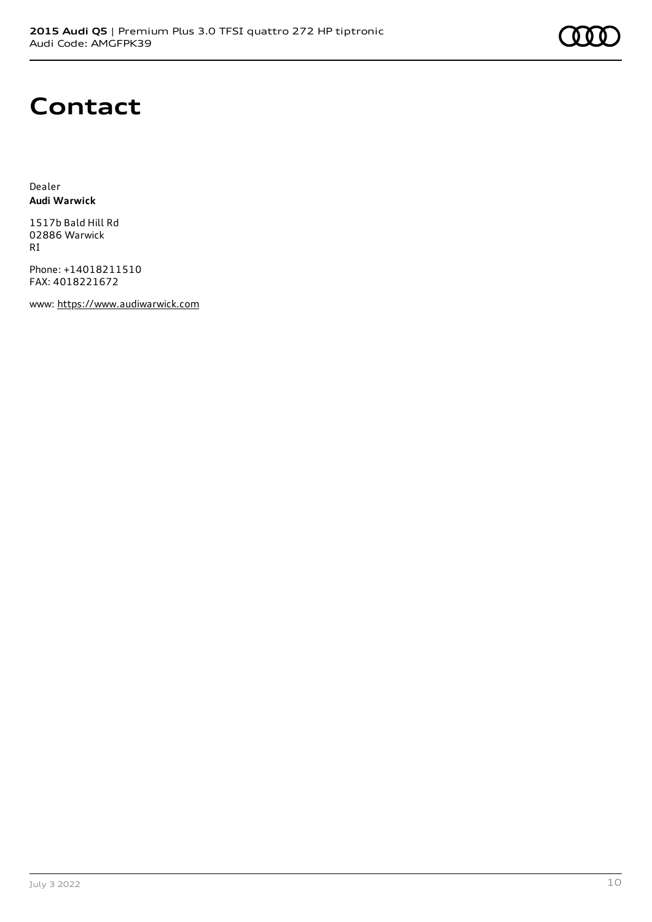## **Contact**

Dealer **Audi Warwick**

1517b Bald Hill Rd 02886 Warwick RI

Phone: +14018211510 FAX: 4018221672

www: [https://www.audiwarwick.com](https://www.audiwarwick.com/)